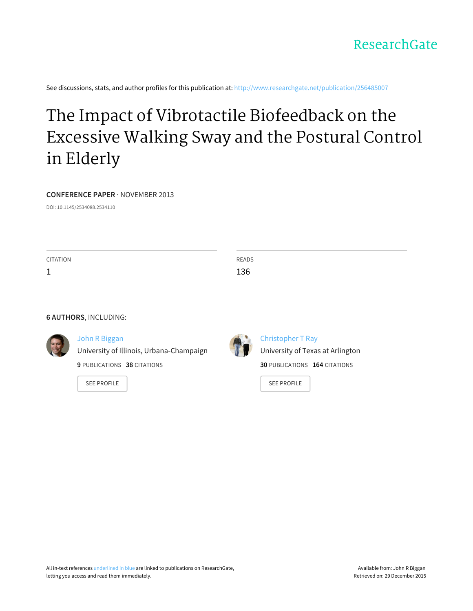

See discussions, stats, and author profiles for this publication at: [http://www.researchgate.net/publication/256485007](http://www.researchgate.net/publication/256485007_The_Impact_of_Vibrotactile_Biofeedback_on_the_Excessive_Walking_Sway_and_the_Postural_Control_in_Elderly?enrichId=rgreq-e43face5-cdbc-4724-86c4-094fb9ffc4f3&enrichSource=Y292ZXJQYWdlOzI1NjQ4NTAwNztBUzo5OTkyNzY0NDQ0MjYzMEAxNDAwODM2MDE1MzQ5&el=1_x_2)

# The Impact of Vibrotactile [Biofeedback](http://www.researchgate.net/publication/256485007_The_Impact_of_Vibrotactile_Biofeedback_on_the_Excessive_Walking_Sway_and_the_Postural_Control_in_Elderly?enrichId=rgreq-e43face5-cdbc-4724-86c4-094fb9ffc4f3&enrichSource=Y292ZXJQYWdlOzI1NjQ4NTAwNztBUzo5OTkyNzY0NDQ0MjYzMEAxNDAwODM2MDE1MzQ5&el=1_x_3) on the Excessive Walking Sway and the Postural Control in Elderly

#### **CONFERENCE PAPER** · NOVEMBER 2013

DOI: 10.1145/2534088.2534110

**CITATION** 

1

READS 136

#### **6 AUTHORS**, INCLUDING:



# John R [Biggan](http://www.researchgate.net/profile/John_Biggan?enrichId=rgreq-e43face5-cdbc-4724-86c4-094fb9ffc4f3&enrichSource=Y292ZXJQYWdlOzI1NjQ4NTAwNztBUzo5OTkyNzY0NDQ0MjYzMEAxNDAwODM2MDE1MzQ5&el=1_x_5)

University of Illinois, [Urbana-Champaign](http://www.researchgate.net/institution/University_of_Illinois_Urbana-Champaign?enrichId=rgreq-e43face5-cdbc-4724-86c4-094fb9ffc4f3&enrichSource=Y292ZXJQYWdlOzI1NjQ4NTAwNztBUzo5OTkyNzY0NDQ0MjYzMEAxNDAwODM2MDE1MzQ5&el=1_x_6)

**9** PUBLICATIONS **38** CITATIONS

SEE [PROFILE](http://www.researchgate.net/profile/John_Biggan?enrichId=rgreq-e43face5-cdbc-4724-86c4-094fb9ffc4f3&enrichSource=Y292ZXJQYWdlOzI1NjQ4NTAwNztBUzo5OTkyNzY0NDQ0MjYzMEAxNDAwODM2MDE1MzQ5&el=1_x_7)



[Christopher](http://www.researchgate.net/profile/Christopher_Ray?enrichId=rgreq-e43face5-cdbc-4724-86c4-094fb9ffc4f3&enrichSource=Y292ZXJQYWdlOzI1NjQ4NTAwNztBUzo5OTkyNzY0NDQ0MjYzMEAxNDAwODM2MDE1MzQ5&el=1_x_5) T Ray [University](http://www.researchgate.net/institution/University_of_Texas_at_Arlington?enrichId=rgreq-e43face5-cdbc-4724-86c4-094fb9ffc4f3&enrichSource=Y292ZXJQYWdlOzI1NjQ4NTAwNztBUzo5OTkyNzY0NDQ0MjYzMEAxNDAwODM2MDE1MzQ5&el=1_x_6) of Texas at Arlington **30** PUBLICATIONS **164** CITATIONS

SEE [PROFILE](http://www.researchgate.net/profile/Christopher_Ray?enrichId=rgreq-e43face5-cdbc-4724-86c4-094fb9ffc4f3&enrichSource=Y292ZXJQYWdlOzI1NjQ4NTAwNztBUzo5OTkyNzY0NDQ0MjYzMEAxNDAwODM2MDE1MzQ5&el=1_x_7)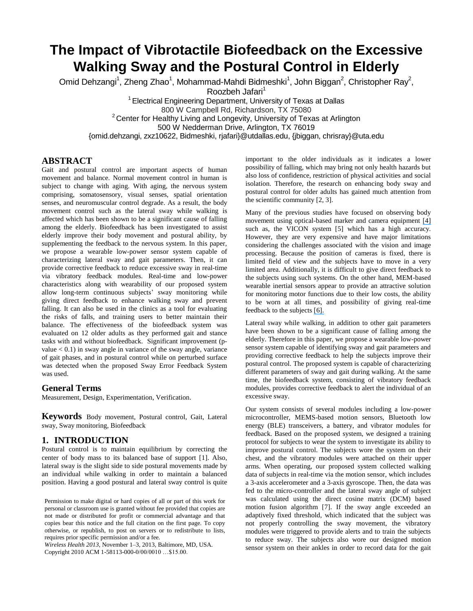# **The Impact of Vibrotactile Biofeedback on the Excessive Walking Sway and the Postural Control in Elderly**

Omid Dehzangi<sup>1</sup>, Zheng Zhao<sup>1</sup>, Mohammad-Mahdi Bidmeshki<sup>1</sup>, John Biggan<sup>2</sup>, Christopher Ray<sup>2</sup>,

Roozbeh Jafari<sup>1</sup>

<sup>1</sup> Electrical Engineering Department, University of Texas at Dallas

800 W Campbell Rd, Richardson, TX 75080

 $2$  Center for Healthy Living and Longevity, University of Texas at Arlington

500 W Nedderman Drive, Arlington, TX 76019

{omid.dehzangi, zxz10622, Bidmeshki, rjafari}@utdallas.edu, {jbiggan, chrisray}@uta.edu

# **ABSTRACT**

Gait and postural control are important aspects of human movement and balance. Normal movement control in human is subject to change with aging. With aging, the nervous system comprising, somatosensory, visual senses, spatial orientation senses, and neuromuscular control degrade. As a result, the body movement control such as the lateral sway while walking is affected which has been shown to be a significant cause of falling among the elderly. Biofeedback has been investigated to assist elderly improve their body movement and postural ability, by supplementing the feedback to the nervous system. In this paper, we propose a wearable low-power sensor system capable of characterizing lateral sway and gait parameters. Then, it can provide corrective feedback to reduce excessive sway in real-time via vibratory feedback modules. Real-time and low-power characteristics along with wearability of our proposed system allow long-term continuous subjects' sway monitoring while giving direct feedback to enhance walking sway and prevent falling. It can also be used in the clinics as a tool for evaluating the risks of falls, and training users to better maintain their balance. The effectiveness of the biofeedback system was evaluated on 12 older adults as they performed gait and stance tasks with and without biofeedback. Significant improvement (pvalue  $< 0.1$ ) in sway angle in variance of the sway angle, variance of gait phases, and in postural control while on perturbed surface was detected when the proposed Sway Error Feedback System was used.

# **General Terms**

Measurement, Design, Experimentation, Verification.

**Keywords** Body movement, Postural control, Gait, Lateral sway, Sway monitoring, Biofeedback

# **1. INTRODUCTION**

Postural control is to maintain equilibrium by correcting the center of body mass to its balanced base of support [1]. Also, lateral sway is the slight side to side postural movements made by an individual while walking in order to maintain a balanced position. Having a good postural and lateral sway control is quite

*Wireless Health 2013*, November 1–3, 2013, Baltimore, MD, USA. Copyright 2010 ACM 1-58113-000-0/00/0010 …\$15.00.

important to the older individuals as it indicates a lower possibility of falling, which may bring not only health hazards but also loss of confidence, restriction of physical activities and social isolation. Therefore, the research on enhancing body sway and postural control for older adults has gained much attention from the scientific community [2, 3].

Many of the previous studies have focused on observing body movement using optical-based marker and camera equipment [\[4\]](https://www.researchgate.net/publication/221622047_Gesture-Based_Affective_Computing_on_Motion_Capture_Data?el=1_x_8&enrichId=rgreq-e43face5-cdbc-4724-86c4-094fb9ffc4f3&enrichSource=Y292ZXJQYWdlOzI1NjQ4NTAwNztBUzo5OTkyNzY0NDQ0MjYzMEAxNDAwODM2MDE1MzQ5) such as, the VICON system [5] which has a high accuracy. However, they are very expensive and have major limitations considering the challenges associated with the vision and image processing. Because the position of cameras is fixed, there is limited field of view and the subjects have to move in a very limited area. Additionally, it is difficult to give direct feedback to the subjects using such systems. On the other hand, MEM-based wearable inertial sensors appear to provide an attractive solution for monitoring motor functions due to their low costs, the ability to be worn at all times, and possibility of giving real-time feedback to the subjects [\[6\].](https://www.researchgate.net/publication/13808731_Real-time_feedback_of_body_center_of_gravity_for_postural_training_of_elderly_patients_with_peripheral_neuropathy?el=1_x_8&enrichId=rgreq-e43face5-cdbc-4724-86c4-094fb9ffc4f3&enrichSource=Y292ZXJQYWdlOzI1NjQ4NTAwNztBUzo5OTkyNzY0NDQ0MjYzMEAxNDAwODM2MDE1MzQ5)

Lateral sway while walking, in addition to other gait parameters have been shown to be a significant cause of falling among the elderly. Therefore in this paper, we propose a wearable low-power sensor system capable of identifying sway and gait parameters and providing corrective feedback to help the subjects improve their postural control. The proposed system is capable of characterizing different parameters of sway and gait during walking. At the same time, the biofeedback system, consisting of vibratory feedback modules, provides corrective feedback to alert the individual of an excessive sway.

Our system consists of several modules including a low-power microcontroller, MEMS-based motion sensors, Bluetooth low energy (BLE) transceivers, a battery, and vibrator modules for feedback. Based on the proposed system, we designed a training protocol for subjects to wear the system to investigate its ability to improve postural control. The subjects wore the system on their chest, and the vibratory modules were attached on their upper arms. When operating, our proposed system collected walking data of subjects in real-time via the motion sensor, which includes a 3-axis accelerometer and a 3-axis gyroscope. Then, the data was fed to the micro-controller and the lateral sway angle of subject was calculated using the direct cosine matrix (DCM) based motion fusion algorithm [7]. If the sway angle exceeded an adaptively fixed threshold, which indicated that the subject was not properly controlling the sway movement, the vibratory modules were triggered to provide alerts and to train the subjects to reduce sway. The subjects also wore our designed motion sensor system on their ankles in order to record data for the gait

Permission to make digital or hard copies of all or part of this work for personal or classroom use is granted without fee provided that copies are not made or distributed for profit or commercial advantage and that copies bear this notice and the full citation on the first page. To copy otherwise, or republish, to post on servers or to redistribute to lists, requires prior specific permission and/or a fee.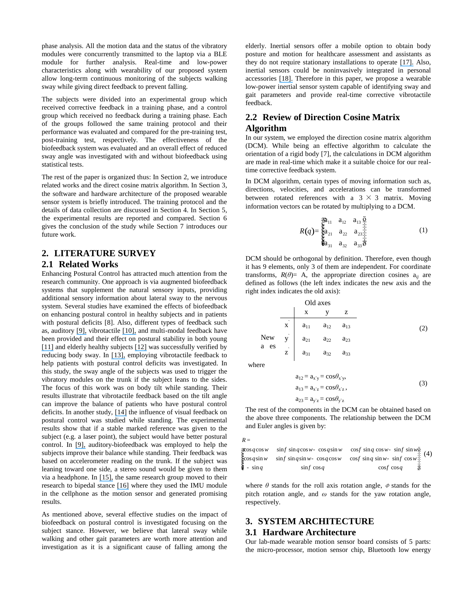phase analysis. All the motion data and the status of the vibratory modules were concurrently transmitted to the laptop via a BLE module for further analysis. Real-time and low-power characteristics along with wearability of our proposed system allow long-term continuous monitoring of the subjects walking sway while giving direct feedback to prevent falling.

The subjects were divided into an experimental group which received corrective feedback in a training phase, and a control group which received no feedback during a training phase. Each of the groups followed the same training protocol and their performance was evaluated and compared for the pre-training test, post-training test, respectively. The effectiveness of the biofeedback system was evaluated and an overall effect of reduced sway angle was investigated with and without biofeedback using statistical tests.

The rest of the paper is organized thus: In Section 2, we introduce related works and the direct cosine matrix algorithm. In Section 3, the software and hardware architecture of the proposed wearable sensor system is briefly introduced. The training protocol and the details of data collection are discussed in Section 4. In Section 5, the experimental results are reported and compared. Section 6 gives the conclusion of the study while Section 7 introduces our future work.

# **2. LITERATURE SURVEY**

#### **2.1 Related Works**

Enhancing Postural Control has attracted much attention from the research community. One approach is via augmented biofeedback systems that supplement the natural sensory inputs, providing additional sensory information about lateral sway to the nervous system. Several studies have examined the effects of biofeedback on enhancing postural control in healthy subjects and in patients with postural deficits [8]. Also, different types of feedback such as, auditory [\[9\],](https://www.researchgate.net/publication/7815052_Influence_of_a_portable_audio-biofeedback_device_on_structural_properties_of_postural_sway_J_Neuroengineering_Rehabil_213?el=1_x_8&enrichId=rgreq-e43face5-cdbc-4724-86c4-094fb9ffc4f3&enrichSource=Y292ZXJQYWdlOzI1NjQ4NTAwNztBUzo5OTkyNzY0NDQ0MjYzMEAxNDAwODM2MDE1MzQ5) vibrotactile [\[10\],](https://www.researchgate.net/publication/24256480_Vibrotactile_tilt_feedback_improves_dynamic_gait_index_A_fall_risk_indicator_in_older_adults?el=1_x_8&enrichId=rgreq-e43face5-cdbc-4724-86c4-094fb9ffc4f3&enrichSource=Y292ZXJQYWdlOzI1NjQ4NTAwNztBUzo5OTkyNzY0NDQ0MjYzMEAxNDAwODM2MDE1MzQ5) and multi-modal feedback have been provided and their effect on postural stability in both young [\[11\]](https://www.researchgate.net/publication/44570096_Directional_effects_of_biofeedback_on_trunk_sway_during_stance_tasks_in_healthy_young_adults?el=1_x_8&enrichId=rgreq-e43face5-cdbc-4724-86c4-094fb9ffc4f3&enrichSource=Y292ZXJQYWdlOzI1NjQ4NTAwNztBUzo5OTkyNzY0NDQ0MjYzMEAxNDAwODM2MDE1MzQ5) and elderly healthy subjects [\[12\]](https://www.researchgate.net/publication/24267104_Effects_of_biofeedback_on_trunk_sway_during_dual_tasking_in_the_healthy_young_and_elderly?el=1_x_8&enrichId=rgreq-e43face5-cdbc-4724-86c4-094fb9ffc4f3&enrichSource=Y292ZXJQYWdlOzI1NjQ4NTAwNztBUzo5OTkyNzY0NDQ0MjYzMEAxNDAwODM2MDE1MzQ5) was successfully verified by reducing body sway. In [\[13\],](https://www.researchgate.net/publication/7166713_Control_of_sway_using_vibrotactile_feedback_of_body_tilt_in_patients_with_moderate_and_severe_postural_control_deficits?el=1_x_8&enrichId=rgreq-e43face5-cdbc-4724-86c4-094fb9ffc4f3&enrichSource=Y292ZXJQYWdlOzI1NjQ4NTAwNztBUzo5OTkyNzY0NDQ0MjYzMEAxNDAwODM2MDE1MzQ5) employing vibrotactile feedback to help patients with postural control deficits was investigated. In this study, the sway angle of the subjects was used to trigger the vibratory modules on the trunk if the subject leans to the sides. The focus of this work was on body tilt while standing. Their results illustrate that vibrotactile feedback based on the tilt angle can improve the balance of patients who have postural control deficits. In another study, [\[14\]](https://www.researchgate.net/publication/5432150_Influence_of_enhanced_visual_feedback_on_postural_control_and_spinal_reflex_modulation_during_stance?el=1_x_8&enrichId=rgreq-e43face5-cdbc-4724-86c4-094fb9ffc4f3&enrichSource=Y292ZXJQYWdlOzI1NjQ4NTAwNztBUzo5OTkyNzY0NDQ0MjYzMEAxNDAwODM2MDE1MzQ5) the influence of visual feedback on postural control was studied while standing. The experimental results show that if a stable marked reference was given to the subject (e.g. a laser point), the subject would have better postural control. In [\[9\],](https://www.researchgate.net/publication/7815052_Influence_of_a_portable_audio-biofeedback_device_on_structural_properties_of_postural_sway_J_Neuroengineering_Rehabil_213?el=1_x_8&enrichId=rgreq-e43face5-cdbc-4724-86c4-094fb9ffc4f3&enrichSource=Y292ZXJQYWdlOzI1NjQ4NTAwNztBUzo5OTkyNzY0NDQ0MjYzMEAxNDAwODM2MDE1MzQ5) auditory-biofeedback was employed to help the subjects improve their balance while standing. Their feedback was based on accelerometer reading on the trunk. If the subject was leaning toward one side, a stereo sound would be given to them via a headphone. In [\[15\],](https://www.researchgate.net/publication/7404857_Audio-Biofeedback_for_Balance_Improvement_An_Accelerometry-Based_System?el=1_x_8&enrichId=rgreq-e43face5-cdbc-4724-86c4-094fb9ffc4f3&enrichSource=Y292ZXJQYWdlOzI1NjQ4NTAwNztBUzo5OTkyNzY0NDQ0MjYzMEAxNDAwODM2MDE1MzQ5) the same research group moved to their research to bipedal stance [\[16\]](https://www.researchgate.net/publication/232225844_iBalance-ABF_a_Smartphone-Based_Audio-Biofeedback_Balance_System?el=1_x_8&enrichId=rgreq-e43face5-cdbc-4724-86c4-094fb9ffc4f3&enrichSource=Y292ZXJQYWdlOzI1NjQ4NTAwNztBUzo5OTkyNzY0NDQ0MjYzMEAxNDAwODM2MDE1MzQ5) where they used the IMU module in the cellphone as the motion sensor and generated promising results.

As mentioned above, several effective studies on the impact of biofeedback on postural control is investigated focusing on the subject stance. However, we believe that lateral sway while walking and other gait parameters are worth more attention and investigation as it is a significant cause of falling among the elderly. Inertial sensors offer a mobile option to obtain body posture and motion for healthcare assessment and assistants as they do not require stationary installations to operate [\[17\].](https://www.researchgate.net/publication/224212346_ETHOS_Miniature_Orientation_Sensor_for_Wearable_Human_Motion_Analysis?el=1_x_8&enrichId=rgreq-e43face5-cdbc-4724-86c4-094fb9ffc4f3&enrichSource=Y292ZXJQYWdlOzI1NjQ4NTAwNztBUzo5OTkyNzY0NDQ0MjYzMEAxNDAwODM2MDE1MzQ5) Also, inertial sensors could be noninvasively integrated in personal accessories [\[18\].](https://www.researchgate.net/publication/220497554_Rapid_prototyping_of_smart_garments_for_activity-aware_applications?el=1_x_8&enrichId=rgreq-e43face5-cdbc-4724-86c4-094fb9ffc4f3&enrichSource=Y292ZXJQYWdlOzI1NjQ4NTAwNztBUzo5OTkyNzY0NDQ0MjYzMEAxNDAwODM2MDE1MzQ5) Therefore in this paper, we propose a wearable low-power inertial sensor system capable of identifying sway and gait parameters and provide real-time corrective vibrotactile feedback.

# **2.2 Review of Direction Cosine Matrix Algorithm**

In our system, we employed the direction cosine matrix algorithm (DCM). While being an effective algorithm to calculate the orientation of a rigid body [7], the calculations in DCM algorithm are made in real-time which make it a suitable choice for our realtime corrective feedback system.

In DCM algorithm, certain types of moving information such as, directions, velocities, and accelerations can be transformed between rotated references with a  $3 \times 3$  matrix. Moving information vectors can be rotated by multiplying to a DCM.

$$
R(q) = \begin{matrix} \frac{\alpha}{Q} & a_{11} & a_{12} & a_{13} & \frac{\ddot{\alpha}}{\frac{1}{2}} \\ \frac{\alpha}{Q} & a_{21} & a_{22} & a_{23} & \frac{\ddot{\alpha}}{\frac{1}{2}} \\ \frac{\alpha}{Q} & a_{31} & a_{32} & a_{33} & \frac{\dot{\alpha}}{\frac{1}{2}} \end{matrix} \tag{1}
$$

DCM should be orthogonal by definition. Therefore, even though it has 9 elements, only 3 of them are independent. For coordinate transforms,  $R(\theta) = A$ , the appropriate direction cosines  $a_{ii}$  are defined as follows (the left index indicates the new axis and the right index indicates the old axis):

| Old axes |          |          |          |          |
|----------|----------|----------|----------|----------|
| $x$      | $y$      | $z$      |          |          |
| $x$      | $a_{11}$ | $a_{12}$ | $a_{13}$ |          |
| New      | $y$      | $a_{21}$ | $a_{22}$ | $a_{23}$ |
| a es     | $z$      | $a_{31}$ | $a_{32}$ | $a_{33}$ |

where

$$
a_{12} = a_{x'y} = \cos \theta_{x'y},
$$
  
\n
$$
a_{13} = a_{x'z} = \cos \theta_{x'z},
$$
  
\n
$$
a_{23} = a_{y'z} = \cos \theta_{y'z}
$$
\n(3)

The rest of the components in the DCM can be obtained based on the above three components. The relationship between the DCM and Euler angles is given by:

 $R =$ 

| $R =$ | \n $\text{Res } q \cos w$ \n $\text{sin } q \cos w$ \n $\text{cos } q \sin w$ \n $\text{cos } q \sin w$ \n $\text{sin } q \sin w$ \n $\text{sin } q \sin w$ \n $\text{cos } q \sin w$ \n $\text{sin } q \sin w$ \n $\text{cos } q \sin w$ \n $\text{sin } q \sin w$ \n $\text{sin } q \sin w$ \n $\text{cos } q \sin w$ \n $\text{cos } q \sin w$ \n $\text{cos } q \sin w$ \n $\text{cos } q \sin w$ \n $\text{cos } q \sin w$ \n $\text{cos } q \sin w$ \n $\text{cos } q \sin w$ \n $\text{cos } q \sin w$ \n $\text{cos } q \sin w$ \n $\text{cos } q \sin w$ \n $\text{cos } q \sin w$ \n $\text{cos } q \sin w$ \n $\text{cos } q \sin w$ \n $\text{cos } q \sin w$ \n $\text{cos } q \sin w$ \n $\text{cos } q \sin w$ \n $\text{cos } q \sin w$ \n $\text{cos } q \sin w$ \n $\text{cos } q \sin w$ \n $\text{cos } q \sin w$ \n $\text{cos } q \sin w$ \n $\text{cos } q \sin w$ \n $\text{cos } q \sin w$ \n $\text{cos } q \sin w$ \n $\text{cos } q \sin w$ \n $\text{cos } q \sin w$ \n $\text{cos } q \sin w$ \n $\text{cos } q \sin w$ \n $\text{cos } q \sin w$ \n $\text{cos } q \sin w$ \n $\text{cos } q \sin w$ \n $\text{cos } q \sin w$ \n $\text{cos } q \sin w$ \n $\text{cos } q \sin w$ \n $\text{cos } q \sin w$ \n $\text{cos } q \sin w$ \n $\text{cos } q \sin w$ \n $\text{cos } q \sin w$ \n $\text{cos }$ |
|-------|--------------------------------------------------------------------------------------------------------------------------------------------------------------------------------------------------------------------------------------------------------------------------------------------------------------------------------------------------------------------------------------------------------------------------------------------------------------------------------------------------------------------------------------------------------------------------------------------------------------------------------------------------------------------------------------------------------------------------------------------------------------------------------------------------------------------------------------------------------------------------------------------------------------------------------------------------------------------------------------------------------------------------------------------------------------------------------------------------------------------------------------------------------------------------------------------------------------------------------------------------------------------------------------------------------------------------------------------|
|-------|--------------------------------------------------------------------------------------------------------------------------------------------------------------------------------------------------------------------------------------------------------------------------------------------------------------------------------------------------------------------------------------------------------------------------------------------------------------------------------------------------------------------------------------------------------------------------------------------------------------------------------------------------------------------------------------------------------------------------------------------------------------------------------------------------------------------------------------------------------------------------------------------------------------------------------------------------------------------------------------------------------------------------------------------------------------------------------------------------------------------------------------------------------------------------------------------------------------------------------------------------------------------------------------------------------------------------------------------|

where  $\theta$  stands for the roll axis rotation angle,  $\phi$  stands for the pitch rotation angle, and *ω* stands for the yaw rotation angle, respectively.

# **3. SYSTEM ARCHITECTURE 3.1 Hardware Architecture**

Our lab-made wearable motion sensor board consists of 5 parts: the micro-processor, motion sensor chip, Bluetooth low energy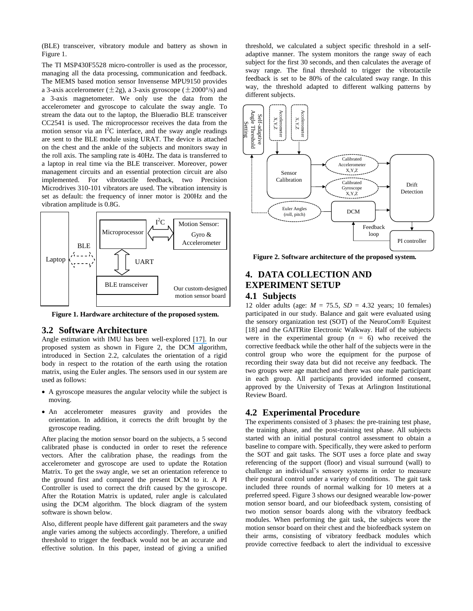(BLE) transceiver, vibratory module and battery as shown in Figure 1.

The TI MSP430F5528 micro-controller is used as the processor, managing all the data processing, communication and feedback. The MEMS based motion sensor Invensense MPU9150 provides a 3-axis accelerometer  $(\pm 2g)$ , a 3-axis gyroscope  $(\pm 2000^{\circ}/s)$  and a 3-axis magnetometer. We only use the data from the accelerometer and gyroscope to calculate the sway angle. To stream the data out to the laptop, the Blueradio BLE transceiver CC2541 is used. The microprocessor receives the data from the motion sensor via an  $I^2C$  interface, and the sway angle readings are sent to the BLE module using URAT. The device is attached on the chest and the ankle of the subjects and monitors sway in the roll axis. The sampling rate is 40Hz. The data is transferred to a laptop in real time via the BLE transceiver. Moreover, power management circuits and an essential protection circuit are also implemented. For vibrotactile feedback, two Precision Microdrives 310-101 vibrators are used. The vibration intensity is set as default: the frequency of inner motor is 200Hz and the vibration amplitude is 0.8G.



**Figure 1. Hardware architecture of the proposed system.**

#### **3.2 Software Architecture**

Angle estimation with IMU has been well-explored [\[17\].](https://www.researchgate.net/publication/224212346_ETHOS_Miniature_Orientation_Sensor_for_Wearable_Human_Motion_Analysis?el=1_x_8&enrichId=rgreq-e43face5-cdbc-4724-86c4-094fb9ffc4f3&enrichSource=Y292ZXJQYWdlOzI1NjQ4NTAwNztBUzo5OTkyNzY0NDQ0MjYzMEAxNDAwODM2MDE1MzQ5) In our proposed system as shown in Figure 2, the DCM algorithm, introduced in Section 2.2, calculates the orientation of a rigid body in respect to the rotation of the earth using the rotation matrix, using the Euler angles. The sensors used in our system are used as follows:

- A gyroscope measures the angular velocity while the subject is moving.
- An accelerometer measures gravity and provides the orientation. In addition, it corrects the drift brought by the gyroscope reading.

After placing the motion sensor board on the subjects, a 5 second calibrated phase is conducted in order to reset the reference vectors. After the calibration phase, the readings from the accelerometer and gyroscope are used to update the Rotation Matrix. To get the sway angle, we set an orientation reference to the ground first and compared the present DCM to it. A PI Controller is used to correct the drift caused by the gyroscope. After the Rotation Matrix is updated, ruler angle is calculated using the DCM algorithm. The block diagram of the system software is shown below.

Also, different people have different gait parameters and the sway angle varies among the subjects accordingly. Therefore, a unified threshold to trigger the feedback would not be an accurate and effective solution. In this paper, instead of giving a unified

threshold, we calculated a subject specific threshold in a selfadaptive manner. The system monitors the range sway of each subject for the first 30 seconds, and then calculates the average of sway range. The final threshold to trigger the vibrotactile feedback is set to be 80% of the calculated sway range. In this way, the threshold adapted to different walking patterns by different subjects.



**Figure 2. Software architecture of the proposed system.**

# **4. DATA COLLECTION AND EXPERIMENT SETUP 4.1 Subjects**

12 older adults (age: *M* = 75.5, *SD* = 4.32 years; 10 females) participated in our study. Balance and gait were evaluated using the sensory organization test (SOT) of the NeuroCom® Equitest [18] and the GAITRite Electronic Walkway. Half of the subjects were in the experimental group  $(n = 6)$  who received the corrective feedback while the other half of the subjects were in the control group who wore the equipment for the purpose of recording their sway data but did not receive any feedback. The two groups were age matched and there was one male participant in each group. All participants provided informed consent, approved by the University of Texas at Arlington Institutional Review Board.

# **4.2 Experimental Procedure**

The experiments consisted of 3 phases: the pre-training test phase, the training phase, and the post-training test phase. All subjects started with an initial postural control assessment to obtain a baseline to compare with. Specifically, they were asked to perform the SOT and gait tasks. The SOT uses a force plate and sway referencing of the support (floor) and visual surround (wall) to challenge an individual's sensory systems in order to measure their postural control under a variety of conditions. The gait task included three rounds of normal walking for 10 meters at a preferred speed. Figure 3 shows our designed wearable low-power motion sensor board, and our biofeedback system, consisting of two motion sensor boards along with the vibratory feedback modules. When performing the gait task, the subjects wore the motion sensor board on their chest and the biofeedback system on their arms, consisting of vibratory feedback modules which provide corrective feedback to alert the individual to excessive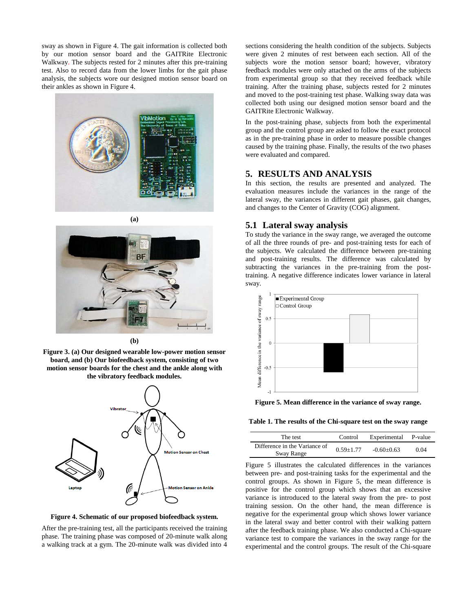sway as shown in Figure 4. The gait information is collected both by our motion sensor board and the GAITRite Electronic Walkway. The subjects rested for 2 minutes after this pre-training test. Also to record data from the lower limbs for the gait phase analysis, the subjects wore our designed motion sensor board on their ankles as shown in Figure 4.







**(b)**





**Figure 4. Schematic of our proposed biofeedback system.**

After the pre-training test, all the participants received the training phase. The training phase was composed of 20-minute walk along a walking track at a gym. The 20-minute walk was divided into 4

sections considering the health condition of the subjects. Subjects were given 2 minutes of rest between each section. All of the subjects wore the motion sensor board; however, vibratory feedback modules were only attached on the arms of the subjects from experimental group so that they received feedback while training. After the training phase, subjects rested for 2 minutes and moved to the post-training test phase. Walking sway data was collected both using our designed motion sensor board and the GAITRite Electronic Walkway.

In the post-training phase, subjects from both the experimental group and the control group are asked to follow the exact protocol as in the pre-training phase in order to measure possible changes caused by the training phase. Finally, the results of the two phases were evaluated and compared.

# **5. RESULTS AND ANALYSIS**

In this section, the results are presented and analyzed. The evaluation measures include the variances in the range of the lateral sway, the variances in different gait phases, gait changes, and changes to the Center of Gravity (COG) alignment.

# **5.1 Lateral sway analysis**

To study the variance in the sway range, we averaged the outcome of all the three rounds of pre- and post-training tests for each of the subjects. We calculated the difference between pre-training and post-training results. The difference was calculated by subtracting the variances in the pre-training from the posttraining. A negative difference indicates lower variance in lateral sway.



**Figure 5. Mean difference in the variance of sway range.**

**Table 1. The results of the Chi-square test on the sway range**

| The test                      | Control       | Experimental | P-value |
|-------------------------------|---------------|--------------|---------|
| Difference in the Variance of | $0.59 + 1.77$ | $-0.60+0.63$ | 0.04    |
| Sway Range                    |               |              |         |

Figure 5 illustrates the calculated differences in the variances between pre- and post-training tasks for the experimental and the control groups. As shown in Figure 5, the mean difference is positive for the control group which shows that an excessive variance is introduced to the lateral sway from the pre- to post training session. On the other hand, the mean difference is negative for the experimental group which shows lower variance in the lateral sway and better control with their walking pattern after the feedback training phase. We also conducted a Chi-square variance test to compare the variances in the sway range for the experimental and the control groups. The result of the Chi-square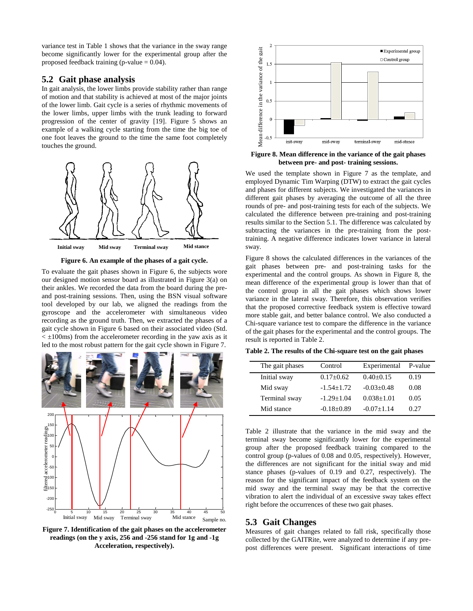variance test in Table 1 shows that the variance in the sway range become significantly lower for the experimental group after the proposed feedback training (p-value = 0.04).

#### **5.2 Gait phase analysis**

In gait analysis, the lower limbs provide stability rather than range of motion and that stability is achieved at most of the major joints of the lower limb. Gait cycle is a series of rhythmic movements of the lower limbs, upper limbs with the trunk leading to forward progression of the center of gravity [19]. Figure 5 shows an example of a walking cycle starting from the time the big toe of one foot leaves the ground to the time the same foot completely touches the ground.



**Figure 6. An example of the phases of a gait cycle.**

To evaluate the gait phases shown in Figure 6, the subjects wore our designed motion sensor board as illustrated in Figure 3(a) on their ankles. We recorded the data from the board during the preand post-training sessions. Then, using the BSN visual software tool developed by our lab, we aligned the readings from the gyroscope and the accelerometer with simultaneous video recording as the ground truth. Then, we extracted the phases of a gait cycle shown in Figure 6 based on their associated video (Std.  $\leq$  ±100ms) from the accelerometer recording in the yaw axis as it led to the most robust pattern for the gait cycle shown in Figure 7.



**Figure 7. Identification of the gait phases on the accelerometer readings (on the y axis, 256 and -256 stand for 1g and -1g Acceleration, respectively).**



**Figure 8. Mean difference in the variance of the gait phases between pre- and post- training sessions.**

We used the template shown in Figure 7 as the template, and employed Dynamic Tim Warping (DTW) to extract the gait cycles and phases for different subjects. We investigated the variances in different gait phases by averaging the outcome of all the three rounds of pre- and post-training tests for each of the subjects. We calculated the difference between pre-training and post-training results similar to the Section 5.1. The difference was calculated by subtracting the variances in the pre-training from the posttraining. A negative difference indicates lower variance in lateral sway.

Figure 8 shows the calculated differences in the variances of the gait phases between pre- and post-training tasks for the experimental and the control groups. As shown in Figure 8, the mean difference of the experimental group is lower than that of the control group in all the gait phases which shows lower variance in the lateral sway. Therefore, this observation verifies that the proposed corrective feedback system is effective toward more stable gait, and better balance control. We also conducted a Chi-square variance test to compare the difference in the variance of the gait phases for the experimental and the control groups. The result is reported in Table 2.

|  |  |  | Table 2. The results of the Chi-square test on the gait phases |  |  |  |
|--|--|--|----------------------------------------------------------------|--|--|--|
|--|--|--|----------------------------------------------------------------|--|--|--|

| The gait phases | Control         | Experimental     | P-value |
|-----------------|-----------------|------------------|---------|
| Initial sway    | $0.17 \pm 0.62$ | $0.40 \pm 0.15$  | 0.19    |
| Mid sway        | $-1.54 + 1.72$  | $-0.03+0.48$     | 0.08    |
| Terminal sway   | $-1.29 + 1.04$  | $0.038 \pm 1.01$ | 0.05    |
| Mid stance      | $-0.18+0.89$    | $-0.07+1.14$     | 0.27    |

Table 2 illustrate that the variance in the mid sway and the terminal sway become significantly lower for the experimental group after the proposed feedback training compared to the control group (p-values of 0.08 and 0.05, respectively). However, the differences are not significant for the initial sway and mid stance phases (p-values of 0.19 and 0.27, respectively). The reason for the significant impact of the feedback system on the mid sway and the terminal sway may be that the corrective vibration to alert the individual of an excessive sway takes effect right before the occurrences of these two gait phases.

#### **5.3 Gait Changes**

Measures of gait changes related to fall risk, specifically those collected by the GAITRite, were analyzed to determine if any prepost differences were present. Significant interactions of time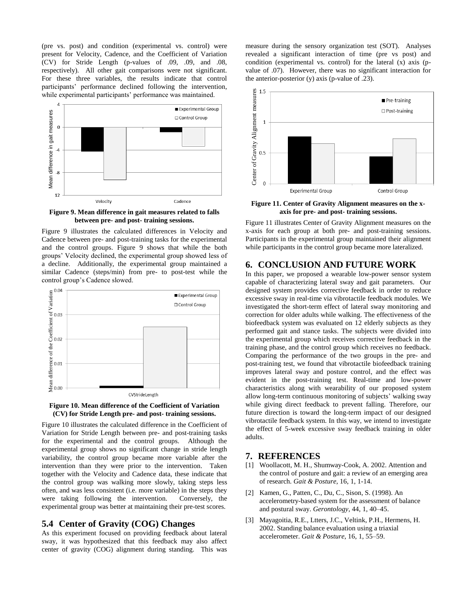(pre vs. post) and condition (experimental vs. control) were present for Velocity, Cadence, and the Coefficient of Variation (CV) for Stride Length (p-values of .09, .09, and .08, respectively). All other gait comparisons were not significant. For these three variables, the results indicate that control participants' performance declined following the intervention, while experimental participants' performance was maintained.



**Figure 9. Mean difference in gait measures related to falls between pre- and post- training sessions.**

Figure 9 illustrates the calculated differences in Velocity and Cadence between pre- and post-training tasks for the experimental and the control groups. Figure 9 shows that while the both groups' Velocity declined, the experimental group showed less of a decline. Additionally, the experimental group maintained a similar Cadence (steps/min) from pre- to post-test while the control group's Cadence slowed.





Figure 10 illustrates the calculated difference in the Coefficient of Variation for Stride Length between pre- and post-training tasks for the experimental and the control groups. Although the experimental group shows no significant change in stride length variability, the control group became more variable after the intervention than they were prior to the intervention. Taken together with the Velocity and Cadence data, these indicate that the control group was walking more slowly, taking steps less often, and was less consistent (i.e. more variable) in the steps they were taking following the intervention. Conversely, the experimental group was better at maintaining their pre-test scores.

#### **5.4 Center of Gravity (COG) Changes**

As this experiment focused on providing feedback about lateral sway, it was hypothesized that this feedback may also affect center of gravity (COG) alignment during standing. This was measure during the sensory organization test (SOT). Analyses revealed a significant interaction of time (pre vs post) and condition (experimental vs. control) for the lateral (x) axis (pvalue of .07). However, there was no significant interaction for the anterior-posterior (y) axis (p-value of .23).



**Figure 11. Center of Gravity Alignment measures on the xaxis for pre- and post- training sessions.**

Figure 11 illustrates Center of Gravity Alignment measures on the x-axis for each group at both pre- and post-training sessions. Participants in the experimental group maintained their alignment while participants in the control group became more lateralized.

#### **6. CONCLUSION AND FUTURE WORK**

In this paper, we proposed a wearable low-power sensor system capable of characterizing lateral sway and gait parameters. Our designed system provides corrective feedback in order to reduce excessive sway in real-time via vibrotactile feedback modules. We investigated the short-term effect of lateral sway monitoring and correction for older adults while walking. The effectiveness of the biofeedback system was evaluated on 12 elderly subjects as they performed gait and stance tasks. The subjects were divided into the experimental group which receives corrective feedback in the training phase, and the control group which receives no feedback. Comparing the performance of the two groups in the pre- and post-training test, we found that vibrotactile biofeedback training improves lateral sway and posture control, and the effect was evident in the post-training test. Real-time and low-power characteristics along with wearability of our proposed system allow long-term continuous monitoring of subjects' walking sway while giving direct feedback to prevent falling. Therefore, our future direction is toward the long-term impact of our designed vibrotactile feedback system. In this way, we intend to investigate the effect of 5-week excessive sway feedback training in older adults.

#### **7. REFERENCES**

- [1] Woollacott, M. H., Shumway-Cook, A. 2002. Attention and the control of posture and gait: a review of an emerging area of research. *Gait & Posture*, 16, 1, 1-14.
- [2] Kamen, G., Patten, C., Du, C., Sison, S. (1998). An accelerometry-based system for the assessment of balance and postural sway. *Gerontology*, 44, 1, 40–45.
- [3] Mayagoitia, R.E., Ltters, J.C., Veltink, P.H., Hermens, H. 2002. Standing balance evaluation using a triaxial accelerometer. *Gait & Posture*, 16, 1, 55–59.